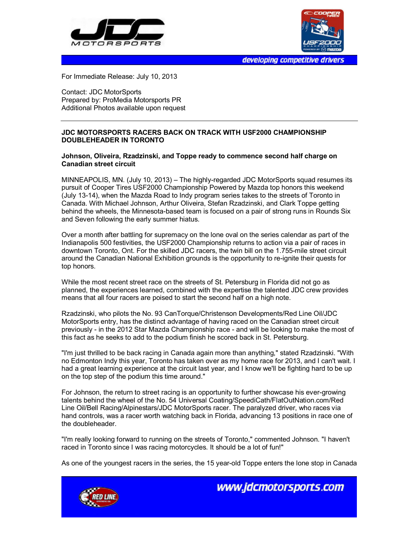



developing competitive drivers

For Immediate Release: July 10, 2013

Contact: JDC MotorSports Prepared by: ProMedia Motorsports PR Additional Photos available upon request

## **JDC MOTORSPORTS RACERS BACK ON TRACK WITH USF2000 CHAMPIONSHIP DOUBLEHEADER IN TORONTO**

## **Johnson, Oliveira, Rzadzinski, and Toppe ready to commence second half charge on Canadian street circuit**

MINNEAPOLIS, MN. (July 10, 2013) – The highly-regarded JDC MotorSports squad resumes its pursuit of Cooper Tires USF2000 Championship Powered by Mazda top honors this weekend (July 13-14), when the Mazda Road to Indy program series takes to the streets of Toronto in Canada. With Michael Johnson, Arthur Oliveira, Stefan Rzadzinski, and Clark Toppe getting behind the wheels, the Minnesota-based team is focused on a pair of strong runs in Rounds Six and Seven following the early summer hiatus.

Over a month after battling for supremacy on the lone oval on the series calendar as part of the Indianapolis 500 festivities, the USF2000 Championship returns to action via a pair of races in downtown Toronto, Ont. For the skilled JDC racers, the twin bill on the 1.755-mile street circuit around the Canadian National Exhibition grounds is the opportunity to re-ignite their quests for top honors.

While the most recent street race on the streets of St. Petersburg in Florida did not go as planned, the experiences learned, combined with the expertise the talented JDC crew provides means that all four racers are poised to start the second half on a high note.

Rzadzinski, who pilots the No. 93 CanTorque/Christenson Developments/Red Line Oil/JDC MotorSports entry, has the distinct advantage of having raced on the Canadian street circuit previously - in the 2012 Star Mazda Championship race - and will be looking to make the most of this fact as he seeks to add to the podium finish he scored back in St. Petersburg.

"I'm just thrilled to be back racing in Canada again more than anything," stated Rzadzinski. "With no Edmonton Indy this year, Toronto has taken over as my home race for 2013, and I can't wait. I had a great learning experience at the circuit last year, and I know we'll be fighting hard to be up on the top step of the podium this time around."

For Johnson, the return to street racing is an opportunity to further showcase his ever-growing talents behind the wheel of the No. 54 Universal Coating/SpeediCath/FlatOutNation.com/Red Line Oil/Bell Racing/Alpinestars/JDC MotorSports racer. The paralyzed driver, who races via hand controls, was a racer worth watching back in Florida, advancing 13 positions in race one of the doubleheader.

"I'm really looking forward to running on the streets of Toronto," commented Johnson. "I haven't raced in Toronto since I was racing motorcycles. It should be a lot of fun!"

As one of the youngest racers in the series, the 15 year-old Toppe enters the lone stop in Canada



www.jdcmotorsports.com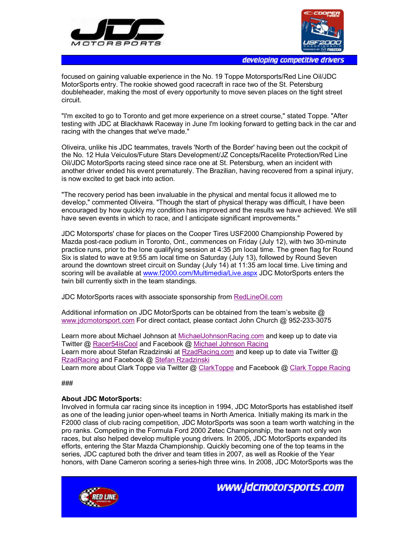



developing competitive drivers

focused on gaining valuable experience in the No. 19 Toppe Motorsports/Red Line Oil/JDC MotorSports entry. The rookie showed good racecraft in race two of the St. Petersburg doubleheader, making the most of every opportunity to move seven places on the tight street circuit.

"I'm excited to go to Toronto and get more experience on a street course," stated Toppe. "After testing with JDC at Blackhawk Raceway in June I'm looking forward to getting back in the car and racing with the changes that we've made."

Oliveira, unlike his JDC teammates, travels 'North of the Border' having been out the cockpit of the No. 12 Hula Veiculos/Future Stars Development/JZ Concepts/Racelite Protection/Red Line Oil/JDC MotorSports racing steed since race one at St. Petersburg, when an incident with another driver ended his event prematurely. The Brazilian, having recovered from a spinal injury, is now excited to get back into action.

"The recovery period has been invaluable in the physical and mental focus it allowed me to develop," commented Oliveira. "Though the start of physical therapy was difficult, I have been encouraged by how quickly my condition has improved and the results we have achieved. We still have seven events in which to race, and I anticipate significant improvements."

JDC Motorsports' chase for places on the Cooper Tires USF2000 Championship Powered by Mazda post-race podium in Toronto, Ont., commences on Friday (July 12), with two 30-minute practice runs, prior to the lone qualifying session at 4:35 pm local time. The green flag for Round Six is slated to wave at 9:55 am local time on Saturday (July 13), followed by Round Seven around the downtown street circuit on Sunday (July 14) at 11:35 am local time. Live timing and scoring will be available at www.f2000.com/Multimedia/Live.aspx JDC MotorSports enters the twin bill currently sixth in the team standings.

JDC MotorSports races with associate sponsorship from RedLineOil.com

Additional information on JDC MotorSports can be obtained from the team's website @ www.jdcmotorsport.com For direct contact, please contact John Church @ 952-233-3075

Learn more about Michael Johnson at MichaelJohnsonRacing.com and keep up to date via Twitter @ Racer54isCool and Facebook @ Michael Johnson Racing Learn more about Stefan Rzadzinski at RzadRacing.com and keep up to date via Twitter @ RzadRacing and Facebook @ Stefan Rzadzinski Learn more about Clark Toppe via Twitter @ ClarkToppe and Facebook @ Clark Toppe Racing

## ###

## **About JDC MotorSports:**

Involved in formula car racing since its inception in 1994, JDC MotorSports has established itself as one of the leading junior open-wheel teams in North America. Initially making its mark in the F2000 class of club racing competition, JDC MotorSports was soon a team worth watching in the pro ranks. Competing in the Formula Ford 2000 Zetec Championship, the team not only won races, but also helped develop multiple young drivers. In 2005, JDC MotorSports expanded its efforts, entering the Star Mazda Championship. Quickly becoming one of the top teams in the series, JDC captured both the driver and team titles in 2007, as well as Rookie of the Year honors, with Dane Cameron scoring a series-high three wins. In 2008, JDC MotorSports was the



www.jdcmotorsports.com